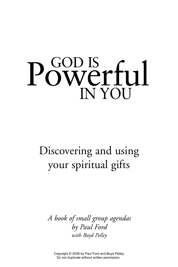# GOD IS Powerful IN YOU

# Discovering and using your spiritual gifts

*A book of small group agendas by Paul Ford with Boyd Pelley*

Copyright © 2008 by Paul Ford and Boyd Pelley Do not duplicate without written permission.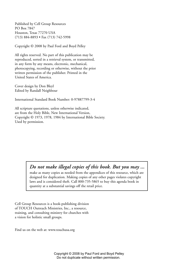Published by Cell Group Resources PO Box 7847 Houston, Texas 77270 USA (713) 884-8893 • Fax (713) 742-5998

Copyright © 2008 by Paul Ford and Boyd Pelley

All rights reserved. No part of this publication may be reproduced, sorted in a retrieval system, or transmitted, in any form by any means, electronic, mechanical, photocopying, recording or otherwise, without the prior written permission of the publisher. Printed in the United States of America.

Cover design by Don Bleyl Edited by Randall Neighbour

International Standard Book Number: 0-97887799-3-4

All scripture quotations, unless otherwise indicated, are from the Holy Bible, New International Version, Copyright © 1973, 1978, 1984 by International Bible Society. Used by permission.

*Do not make illegal copies of this book. But you may ...*

make as many copies as needed from the appendices of this resource, which are designed for duplication. Making copies of any other pages violates copyright laws and is considered theft. Call 800-735-5865 to buy this agenda book in quantity at a substantial savings off the retail price.

Cell Group Resources is a book-publishing division of TOUCH Outreach Ministries, Inc., a resource, training, and consulting ministry for churches with a vision for holistic small groups.

Find us on the web at: www.touchusa.org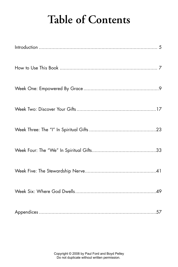# **Table of Contents**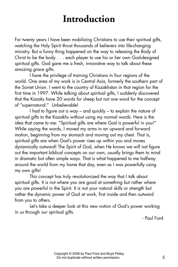### **Introduction**

For twenty years I have been mobilizing Christians to use their spiritual gifts, watching the Holy Spirit thrust thousands of believers into life-changing ministry. But a funny thing happened on the way to releasing the Body of Christ to be the body . . . each player to use his or her own God-designed spiritual gifts. God gave me a fresh, innovative way to talk about these amazing grace gifts.

I have the privilege of training Christians in four regions of the world. One area of my work is in Central Asia, formerly the southern part of the Soviet Union. I went to the country of Kazakhstan in that region for the first time in 1997. While talking about spiritual gifts, I suddenly discovered that the Kazaks have 20 words for sheep but not one word for the concept of "supernatural." Unbelievable!

I had to figure out a way – and quickly – to explain the nature of spiritual gifts to the Kazakhs without using my normal words. Here is the idea that came to me: "Spiritual gifts are where God is powerful in you!" While saying the words, I moved my arms in an upward and forward motion, beginning from my stomach and moving out my chest. That is, spiritual gifts are when God's power rises up within you and moves dynamically outward! The Spirit of God, when He knows we will not figure out the important biblical concepts on our own, usually brings them to mind in dramatic but often simple ways. That is what happened to me halfway around the world from my home that day, even as I was powerfully using my own gifts!

This concept has truly revolutionized the way that I talk about spiritual gifts. It is not where you are good at something but rather where you are powerful in the Spirit. It is not your natural skills or strength but rather the dynamic power of God at work, first inside and then outward from you to others.

Let's take a deeper look at this new notion of God's power working in us through our spiritual gifts.

- Paul Ford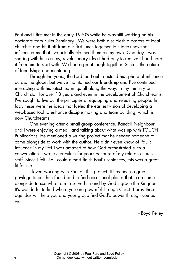Paul and I first met in the early 1990's while he was still working on his doctorate from Fuller Seminary. We were both discipleship pastors at local churches and hit it off from our first lunch together. His ideas have so influenced me that I've actually claimed them as my own. One day I was sharing with him a new, revolutionary idea I had only to realize I had heard it from him to start with. We had a great laugh together. Such is the nature of friendships and mentoring.

Through the years, the Lord led Paul to extend his sphere of influence across the globe, but we've maintained our friendship and I've continued interacting with his latest learnings all along the way. In my ministry on Church staff for over 18 years and even in the development of Churchteams, I've sought to live out the principles of equipping and releasing people. In fact, these were the ideas that fueled the earliest vision of developing a web-based tool to enhance disciple making and team building, which is now Churchteams.

One evening after a small group conference, Randall Neighbour and I were enjoying a meal and talking about what was up with TOUCH Publications. He mentioned a writing project that he needed someone to come alongside to work with the author. He didn't even know of Paul's influence in my life! I was amazed at how God orchestrated such a conversation. I wrote curriculum for years because of my role on church staff. Since I felt like I could almost finish Paul's sentences, this was a great fit for me.

I loved working with Paul on this project. It has been a great privilege to call him friend and to find occasional places that I can come alongside to use who I am to serve him and by God's grace the Kingdom. It's wonderful to find where you are powerful through Christ. I pray these agendas will help you and your group find God's power through you as well.

- Boyd Pelley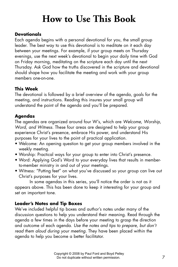# **How to Use This Book**

#### **Devotionals**

Each agenda begins with a personal devotional for you, the small group leader. The best way to use this devotional is to meditate on it each day between your meetings. For example, if your group meets on Thursday evenings, use the next week's devotional to begin your daily time with God on Friday morning, meditating on the scripture each day until the next Thursday. Ask God how the truths discovered in the scripture and devotional should shape how you facilitate the meeting and work with your group members one-on-one.

#### **This Week**

The devotional is followed by a brief overview of the agenda, goals for the meeting, and instructions. Reading this insures your small group will understand the point of the agenda and you'll be prepared.

#### **Agendas**

The agendas are organized around four W's, which are *Welcome, Worship, Word, and Witness*. These four areas are designed to help your group experience Christ's presence, embrace His power, and understand His purposes for your lives to the point of practical application.

- Welcome: An opening question to get your group members involved in the weekly meeting.
- Worship: Practical ways for your group to enter into Christ's presence.
- Word: Applying God's Word to your everyday lives that results in memberto-member ministry in and out of your meetings.
- Witness: "Putting feet" on what you've discussed so your group can live out Christ's purposes for your lives.

In some agendas in this series, you'll notice the order is not as it appears above. This has been done to keep it interesting for your group and set an important tone.

#### **Leader's Notes and Tip Boxes**

We've included helpful tip boxes and author's notes under many of the discussion questions to help you understand their meaning. Read through the agenda a few times in the days before your meeting to grasp the direction and outcome of each agenda. *Use the notes and tips to prepare, but don't read them aloud during your meeting.* They have been placed within the agenda to help you become a better facilitator.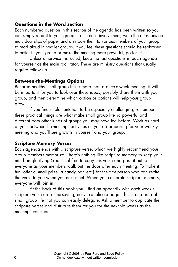#### **Questions in the Word section**

Each numbered question in this section of the agenda has been written so you can simply read it to your group. To increase involvement, write the questions on individual slips of paper and distribute them to various members of your group to read aloud in smaller groups. If you feel these questions should be rephrased to better fit your group or make the meeting more powerful, go for it!

Unless otherwise instructed, keep the last questions in each agenda for yourself as the main facilitator. These are ministry questions that usually require follow up.

#### **Between-the-Meetings Options**

Because healthy small group life is more than a once-a-week meeting, it will be important for you to look over these ideas, possibly share them with your group, and then determine which option or options will help your group grow.

If you find implementation to be especially challenging, remember these practical things are what make small group life so powerful and different from other kinds of groups you may have led before. Work as hard at your between-the-meetings activities as you do preparing for your weekly meeting and you'll see growth in yourself and your group.

#### **Scripture Memory Verses**

Each agenda ends with a scripture verse, which we highly recommend your group members memorize. There's nothing like scripture memory to keep your mind on glorifying God! Feel free to copy this verse and pass it out to everyone as your members walk out the door after each meeting. To make it fun, offer a small prize (a candy bar, etc.) for the first person who can recite the verse to you when you next meet. When you celebrate scripture memory, everyone will join in.

At the back of this book you'll find an appendix with each week's scripture verse on a time-saving, easy-to-duplicate page. This is one area of small group life that you can easily delegate. Ask a member to duplicate the scripture verses and distribute them for you for the next six weeks as the meetings conclude.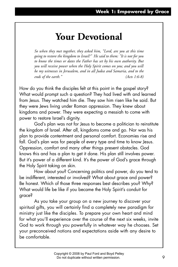### **Your Devotional**

*So when they met together, they asked him, "Lord, are you at this time going to restore the kingdom to Israel?" He said to them: "It is not for you to know the times or dates the Father has set by his own authority. But you will receive power when the Holy Spirit comes on you; and you will be my witnesses in Jerusalem, and in all Judea and Samaria, and to the ends of the earth." (Acts 1:6-8)*

How do you think the disciples felt at this point in the gospel story? What would prompt such a question? They had lived with and learned from Jesus. They watched him die. They saw him risen like he said. But they were Jews living under Roman oppression. They knew about kingdoms and power. They were expecting a messiah to come with power to restore Israel's dignity.

God's plan was not for Jesus to become a politician to reinstitute the kingdom of Israel. After all, kingdoms come and go. Nor was his plan to provide contentment and personal comfort. Economies rise and fall. God's plan was for people of every type and time to know Jesus. Oppression, comfort and many other things present obstacles. God knows this and has a plan to get it done. His plan still involves power. But it's power of a different kind. It's the power of God's grace through the Holy Spirit taking on skin.

How about you? Concerning politics and power, do you tend to be indifferent, interested or involved? What about grace and power? Be honest. Which of those three responses best describes you? Why? What would life be like if you became the Holy Spirit's conduit for grace?

As you take your group on a new journey to discover your spiritual gifts, you will certainly find a completely new paradigm for ministry just like the disciples. To prepare your own heart and mind for what you'll experience over the course of the next six weeks, invite God to work through you powerfully in whatever way he chooses. Set your preconceived notions and expectations aside with any desire to be comfortable.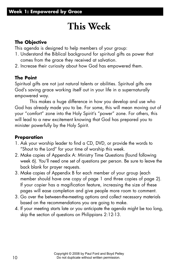# **This Week**

#### **The Objective**

This agenda is designed to help members of your group:

- 1. Understand the Biblical background for spiritual gifts as power that comes from the grace they received at salvation.
- 2. Increase their curiosity about how God has empowered them.

#### **The Point**

Spiritual gifts are not just natural talents or abilities. Spiritual gifts are God's saving grace working itself out in your life in a supernaturally empowered way.

This makes a huge difference in how you develop and use who God has already made you to be. For some, this will mean moving out of your "comfort" zone into the Holy Spirit's "power" zone. For others, this will lead to a new excitement knowing that God has prepared you to minister powerfully by the Holy Spirit.

#### **Preparation**

- 1. Ask your worship leader to find a CD, DVD, or provide the words to "Shout to the Lord" for your time of worship this week.
- 2. Make copies of Appendix A: Ministry Time Questions (found following week 6). You'll need one set of questions per person. Be sure to leave the back blank for prayer requests.
- 3. Make copies of Appendix B for each member of your group (each member should have one copy of page 1 and three copies of page 2). If your copier has a magification feature, increasing the size of these pages will ease completion and give people more room to comment.
- 3. Go over the between-the-meeting options and collect necessary materials based on the recommendations you are going to make.
- 4. If your meeting starts late or you anticipate the agenda might be too long, skip the section of questions on Philippians 2:12-13.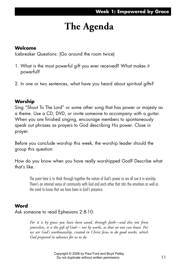# **The Agenda**

#### **Welcome**

Icebreaker Questions: (Go around the room twice)

- 1. What is the most powerful gift you ever received? What makes it powerful?
- 2. In one or two sentences, what have you heard about spiritual gifts?

#### **Worship**

Sing "Shout To The Lord" or some other song that has power or majesty as a theme. Use a CD, DVD, or invite someone to accompany with a guitar. When you are finished singing, encourage members to spontaneously speak out phrases as prayers to God describing His power. Close in prayer.

Before you conclude worship this week, the worship leader should the group this question:

How do you know when you have really worshipped God? Describe what that's like.

The point here is to think through together the nature of God's power as we all see it in worship. There's an internal sense of community with God and each other that stirs the emotions as well as the mind to know that we have been in God's presence.

#### **Word**

Ask someone to read Ephesians 2:8-10:

*For it is by grace you have been saved, through faith—and this not from yourselves, it is the gift of God— not by works, so that no one can boast. For we are God's workmanship, created in Christ Jesus to do good works, which God prepared in advance for us to do.*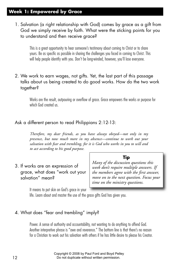#### **Week 1: Empowered by Grace**

1. Salvation (a right relationship with God) comes by grace as a gift from God we simply receive by faith. What were the sticking points for you to understand and then receive grace?

This is a great opportunity to hear someone's testimony about coming to Christ or to share yours. Be as specific as possible in sharing the challenges you faced in coming to Christ. This will help people identify with you. Don't be long-winded, however, you'll lose everyone.

2. We work to earn wages, not gifts. Yet, the last part of this passage talks about us being created to do good works. How do the two work together?

Works are the result, outpouring or overflow of grace. Grace empowers the works or purpose for which God created us.

#### Ask a different person to read Philippians 2:12-13:

*Therefore, my dear friends, as you have always obeyed—not only in my presence, but now much more in my absence—continue to work out your salvation with fear and trembling, for it is God who works in you to will and to act according to his good purpose.*

3. If works are an expression of grace, what does "work out your salvation" mean?

#### **Tip**

*Many of the discussion questions this week don't require multiple answers. If the members agree with the first answer, move on to the next question. Focus your time on the ministry questions.*

It means to put skin on God's grace in your

life. Learn about and master the use of the grace gifts God has given you.

#### 4. What does "fear and trembling" imply?

Power. A sense of authority and accountability, not wanting to do anything to offend God. Another interpretive phrase is "awe and reverence." The bottom line is that there's no reason for a Christian to work out his salvation with others if he has little desire to please his Creator.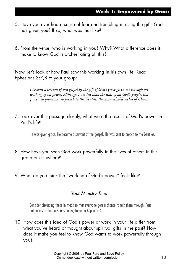- 5. Have you ever had a sense of fear and trembling in using the gifts God has given you? If so, what was that like?
- 6. From the verse, who is working in you? Why? What difference does it make to know God is orchestrating all this?

Now, let's look at how Paul saw this working in his own life. Read Ephesians 3:7,8 to your group:

> *I became a servant of this gospel by the gift of God's grace given me through the working of his power. Although I am less than the least of all God's people, this grace was given me: to preach to the Gentiles the unsearchable riches of Christ.*

7. Look over this passage closely, what were the results of God's power in Paul's life?

He was given grace. He became a servant of the gospel. He was sent to preach to the Gentiles.

- 8. How have you seen God work powerfully in the lives of others in this group or elsewhere?
- 9. What do you think the "working of God's power" feels like?

#### *Your Ministry Time*

Consider discussing these in triads so that everyone gets a chance to talk them through. Pass out copies of the questions below, found in Appendix A.

10. How does this idea of God's power at work in your life differ from what you've heard or thought about spiritual gifts in the past? How does it make you feel to know God wants to work powerfully through you?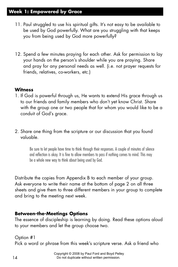#### **Week 1: Empowered by Grace**

- 11. Paul struggled to use his spiritual gifts. It's not easy to be available to be used by God powerfully. What are you struggling with that keeps you from being used by God more powerfully?
- 12. Spend a few minutes praying for each other. Ask for permission to lay your hands on the person's shoulder while you are praying. Share and pray for any personal needs as well. (i.e. not prayer requests for friends, relatives, co-workers, etc.)

#### **Witness**

- 1. If God is powerful through us, He wants to extend His grace through us to our friends and family members who don't yet know Christ. Share with the group one or two people that for whom you would like to be a conduit of God's grace.
- 2. Share one thing from the scripture or our discussion that you found valuable.

Be sure to let people have time to think through their responses. A couple of minutes of silence and reflection is okay. It is fine to allow members to pass if nothing comes to mind. This may be a whole new way to think about being used by God.

Distribute the copies from Appendix B to each member of your group. Ask everyone to write their name at the bottom of page 2 on all three sheets and give them to three different members in your group to complete and bring to the meeting next week.

#### **Between-the-Meetings Options**

The essence of discipleship is learning by doing. Read these options aloud to your members and let the group choose two.

Option #1

Pick a word or phrase from this week's scripture verse. Ask a friend who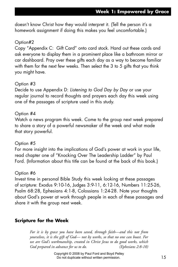doesn't know Christ how they would interpret it. (Tell the person it's a homework assignment if doing this makes you feel uncomfortable.)

#### Option#2

Copy "Appendix C: Gift Card" onto card stock. Hand out these cards and ask everyone to display them in a prominent place like a bathroom mirror or car dashboard. Pray over these gifts each day as a way to become familiar with them for the next few weeks. Then select the 3 to 5 gifts that you think you might have.

#### Option #3

Decide to use Appendix D: *Listening to God Day by Day* or use your regular journal to record thoughts and prayers each day this week using one of the passages of scripture used in this study.

#### Option #4

Watch a news program this week. Come to the group next week prepared to share a story of a powerful newsmaker of the week and what made that story powerful.

#### Option #5

For more insight into the implications of God's power at work in your life, read chapter one of "Knocking Over The Leadership Ladder" by Paul Ford. (Information about this title can be found at the back of this book.)

#### Option #6

Invest time in personal Bible Study this week looking at these passages of scripture: Exodus 9:10-16, Judges 3:9-11, 6:12-16, Numbers 11:25-26, Psalm 68:28, Ephesians 4:1-8, Colossians 1:24-28. Note your thoughts about God's power at work through people in each of these passages and share it with the group next week.

#### **Scripture for the Week**

*For it is by grace you have been saved, through faith—and this not from yourselves, it is the gift of God— not by works, so that no one can boast. For we are God's workmanship, created in Christ Jesus to do good works, which God prepared in advance for us to do. (Ephesians 2:8-10)*

> Copyright © 2008 by Paul Ford and Boyd Pelley Do not duplicate without written permission.